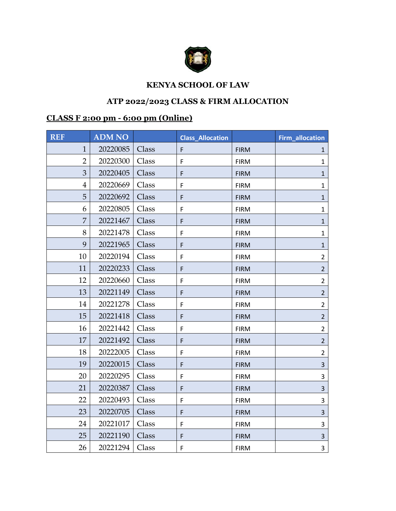

## **KENYA SCHOOL OF LAW**

## **ATP 2022/2023 CLASS & FIRM ALLOCATION**

## **CLASS F 2:00 pm - 6:00 pm (Online)**

| <b>REF</b>     | <b>ADM NO</b> |       | <b>Class Allocation</b> |             | Firm_allocation         |
|----------------|---------------|-------|-------------------------|-------------|-------------------------|
| $\mathbf{1}$   | 20220085      | Class | F                       | <b>FIRM</b> | $\mathbf{1}$            |
| $\overline{2}$ | 20220300      | Class | F                       | <b>FIRM</b> | $\mathbf{1}$            |
| 3              | 20220405      | Class | F                       | <b>FIRM</b> | $\mathbf{1}$            |
| $\overline{4}$ | 20220669      | Class | F                       | <b>FIRM</b> | $\mathbf{1}$            |
| 5              | 20220692      | Class | F                       | <b>FIRM</b> | $\mathbf{1}$            |
| 6              | 20220805      | Class | F                       | <b>FIRM</b> | $\mathbf{1}$            |
| $\overline{7}$ | 20221467      | Class | F                       | <b>FIRM</b> | $\mathbf{1}$            |
| 8              | 20221478      | Class | $\mathsf F$             | <b>FIRM</b> | $\mathbf{1}$            |
| 9              | 20221965      | Class | F                       | <b>FIRM</b> | $\mathbf{1}$            |
| 10             | 20220194      | Class | F                       | <b>FIRM</b> | $\overline{2}$          |
| 11             | 20220233      | Class | F                       | <b>FIRM</b> | $\overline{2}$          |
| 12             | 20220660      | Class | F                       | <b>FIRM</b> | $2^{\circ}$             |
| 13             | 20221149      | Class | F                       | <b>FIRM</b> | $\overline{2}$          |
| 14             | 20221278      | Class | F                       | <b>FIRM</b> | $\overline{2}$          |
| 15             | 20221418      | Class | F                       | <b>FIRM</b> | $2^{1}$                 |
| 16             | 20221442      | Class | $\mathsf F$             | <b>FIRM</b> | $\overline{2}$          |
| 17             | 20221492      | Class | F                       | <b>FIRM</b> | $\overline{2}$          |
| 18             | 20222005      | Class | $\mathsf F$             | <b>FIRM</b> | $\overline{2}$          |
| 19             | 20220015      | Class | F                       | <b>FIRM</b> | $\overline{\mathbf{3}}$ |
| 20             | 20220295      | Class | F                       | <b>FIRM</b> | 3                       |
| 21             | 20220387      | Class | F                       | <b>FIRM</b> | 3                       |
| 22             | 20220493      | Class | $\mathsf F$             | <b>FIRM</b> | 3                       |
| 23             | 20220705      | Class | F                       | <b>FIRM</b> | $\overline{3}$          |
| 24             | 20221017      | Class | $\mathsf F$             | <b>FIRM</b> | 3                       |
| 25             | 20221190      | Class | F                       | <b>FIRM</b> | $\overline{3}$          |
| 26             | 20221294      | Class | F                       | <b>FIRM</b> | 3                       |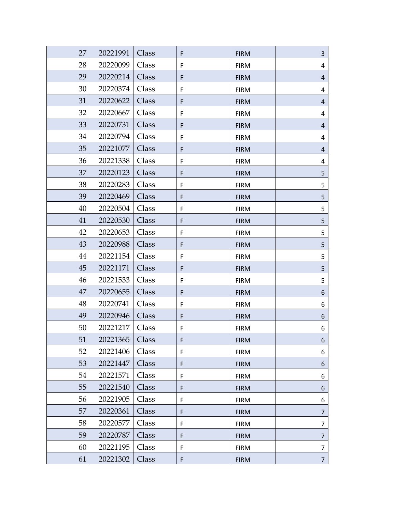| 27 | 20221991 | Class | F           | <b>FIRM</b> | $\overline{3}$ |
|----|----------|-------|-------------|-------------|----------------|
| 28 | 20220099 | Class | F           | <b>FIRM</b> | 4              |
| 29 | 20220214 | Class | F           | <b>FIRM</b> | $\overline{4}$ |
| 30 | 20220374 | Class | F           | <b>FIRM</b> | 4              |
| 31 | 20220622 | Class | F           | <b>FIRM</b> | 4              |
| 32 | 20220667 | Class | F           | <b>FIRM</b> | 4              |
| 33 | 20220731 | Class | F           | <b>FIRM</b> | $\overline{a}$ |
| 34 | 20220794 | Class | F           | <b>FIRM</b> | 4              |
| 35 | 20221077 | Class | F           | <b>FIRM</b> | $\overline{a}$ |
| 36 | 20221338 | Class | $\mathsf F$ | <b>FIRM</b> | 4              |
| 37 | 20220123 | Class | F           | <b>FIRM</b> | 5              |
| 38 | 20220283 | Class | F           | <b>FIRM</b> | 5              |
| 39 | 20220469 | Class | F           | <b>FIRM</b> | 5              |
| 40 | 20220504 | Class | F           | <b>FIRM</b> | 5              |
| 41 | 20220530 | Class | F           | <b>FIRM</b> | 5              |
| 42 | 20220653 | Class | F           | <b>FIRM</b> | 5              |
| 43 | 20220988 | Class | F           | <b>FIRM</b> | 5              |
| 44 | 20221154 | Class | F           | <b>FIRM</b> | 5              |
| 45 | 20221171 | Class | F           | <b>FIRM</b> | 5              |
| 46 | 20221533 | Class | F           | <b>FIRM</b> | 5              |
| 47 | 20220655 | Class | F           | <b>FIRM</b> | 6              |
| 48 | 20220741 | Class | $\mathsf F$ | <b>FIRM</b> | 6              |
| 49 | 20220946 | Class | F           | <b>FIRM</b> | 6              |
| 50 | 20221217 | Class | F           | <b>FIRM</b> | 6              |
| 51 | 20221365 | Class | F           | <b>FIRM</b> | 6              |
| 52 | 20221406 | Class | $\mathsf F$ | <b>FIRM</b> | 6              |
| 53 | 20221447 | Class | F           | <b>FIRM</b> | 6              |
| 54 | 20221571 | Class | F           | <b>FIRM</b> | 6              |
| 55 | 20221540 | Class | F           | <b>FIRM</b> | 6              |
| 56 | 20221905 | Class | F           | <b>FIRM</b> | 6              |
| 57 | 20220361 | Class | F           | <b>FIRM</b> | $\overline{7}$ |
| 58 | 20220577 | Class | F           | <b>FIRM</b> | $\overline{7}$ |
| 59 | 20220787 | Class | F           | <b>FIRM</b> | 7              |
| 60 | 20221195 | Class | F           | <b>FIRM</b> | $\overline{7}$ |
| 61 | 20221302 | Class | F           | <b>FIRM</b> | $\overline{7}$ |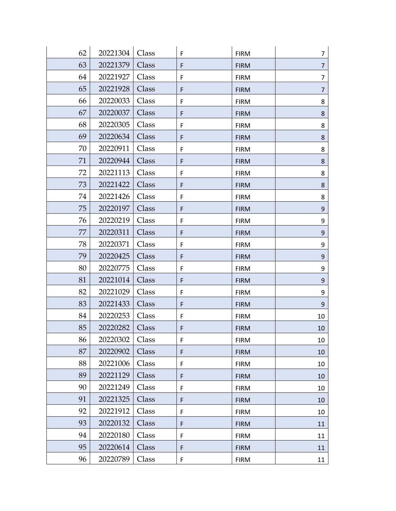| 62 | 20221304 | Class | F           | <b>FIRM</b> | 7                |
|----|----------|-------|-------------|-------------|------------------|
| 63 | 20221379 | Class | F           | <b>FIRM</b> | 7                |
| 64 | 20221927 | Class | $\mathsf F$ | <b>FIRM</b> | 7                |
| 65 | 20221928 | Class | F           | <b>FIRM</b> | 7                |
| 66 | 20220033 | Class | F           | <b>FIRM</b> | 8                |
| 67 | 20220037 | Class | F           | <b>FIRM</b> | $\bf 8$          |
| 68 | 20220305 | Class | F           | <b>FIRM</b> | 8                |
| 69 | 20220634 | Class | F           | <b>FIRM</b> | 8                |
| 70 | 20220911 | Class | F           | <b>FIRM</b> | 8                |
| 71 | 20220944 | Class | F           | <b>FIRM</b> | 8                |
| 72 | 20221113 | Class | F           | <b>FIRM</b> | 8                |
| 73 | 20221422 | Class | F           | <b>FIRM</b> | 8                |
| 74 | 20221426 | Class | F           | <b>FIRM</b> | 8                |
| 75 | 20220197 | Class | F           | <b>FIRM</b> | $\boldsymbol{9}$ |
| 76 | 20220219 | Class | F           | <b>FIRM</b> | 9                |
| 77 | 20220311 | Class | F           | <b>FIRM</b> | 9                |
| 78 | 20220371 | Class | F           | <b>FIRM</b> | 9                |
| 79 | 20220425 | Class | F           | <b>FIRM</b> | $\boldsymbol{9}$ |
| 80 | 20220775 | Class | F           | <b>FIRM</b> | 9                |
| 81 | 20221014 | Class | F           | <b>FIRM</b> | $9\,$            |
| 82 | 20221029 | Class | F           | <b>FIRM</b> | 9                |
| 83 | 20221433 | Class | F           | <b>FIRM</b> | 9                |
| 84 | 20220253 | Class | F           | <b>FIRM</b> | 10               |
| 85 | 20220282 | Class | F           | <b>FIRM</b> | $10\,$           |
| 86 | 20220302 | Class | F           | <b>FIRM</b> | 10               |
| 87 | 20220902 | Class | F           | <b>FIRM</b> | 10               |
| 88 | 20221006 | Class | F           | <b>FIRM</b> | 10               |
| 89 | 20221129 | Class | F           | <b>FIRM</b> | 10               |
| 90 | 20221249 | Class | F           | <b>FIRM</b> | 10               |
| 91 | 20221325 | Class | F           | <b>FIRM</b> | 10               |
| 92 | 20221912 | Class | F           | <b>FIRM</b> | 10               |
| 93 | 20220132 | Class | F           | <b>FIRM</b> | 11               |
| 94 | 20220180 | Class | F           | <b>FIRM</b> | 11               |
| 95 | 20220614 | Class | F           | <b>FIRM</b> | 11               |
| 96 | 20220789 | Class | F           | <b>FIRM</b> | 11               |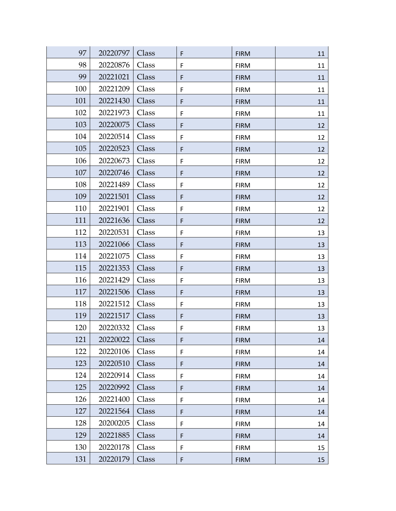| 97  | 20220797 | Class | F           | <b>FIRM</b> | 11 |
|-----|----------|-------|-------------|-------------|----|
| 98  | 20220876 | Class | F           | <b>FIRM</b> | 11 |
| 99  | 20221021 | Class | $\mathsf F$ | <b>FIRM</b> | 11 |
| 100 | 20221209 | Class | $\mathsf F$ | <b>FIRM</b> | 11 |
| 101 | 20221430 | Class | F           | <b>FIRM</b> | 11 |
| 102 | 20221973 | Class | F           | <b>FIRM</b> | 11 |
| 103 | 20220075 | Class | F           | <b>FIRM</b> | 12 |
| 104 | 20220514 | Class | F           | <b>FIRM</b> | 12 |
| 105 | 20220523 | Class | $\mathsf F$ | <b>FIRM</b> | 12 |
| 106 | 20220673 | Class | F           | <b>FIRM</b> | 12 |
| 107 | 20220746 | Class | $\mathsf F$ | <b>FIRM</b> | 12 |
| 108 | 20221489 | Class | F           | <b>FIRM</b> | 12 |
| 109 | 20221501 | Class | F           | <b>FIRM</b> | 12 |
| 110 | 20221901 | Class | F           | <b>FIRM</b> | 12 |
| 111 | 20221636 | Class | $\mathsf F$ | <b>FIRM</b> | 12 |
| 112 | 20220531 | Class | F           | <b>FIRM</b> | 13 |
| 113 | 20221066 | Class | F           | <b>FIRM</b> | 13 |
| 114 | 20221075 | Class | F           | <b>FIRM</b> | 13 |
| 115 | 20221353 | Class | F           | <b>FIRM</b> | 13 |
| 116 | 20221429 | Class | F           | <b>FIRM</b> | 13 |
| 117 | 20221506 | Class | $\mathsf F$ | <b>FIRM</b> | 13 |
| 118 | 20221512 | Class | F           | <b>FIRM</b> | 13 |
| 119 | 20221517 | Class | $\mathsf F$ | <b>FIRM</b> | 13 |
| 120 | 20220332 | Class | F           | <b>FIRM</b> | 13 |
| 121 | 20220022 | Class | F           | <b>FIRM</b> | 14 |
| 122 | 20220106 | Class | $\mathsf F$ | <b>FIRM</b> | 14 |
| 123 | 20220510 | Class | $\mathsf F$ | <b>FIRM</b> | 14 |
| 124 | 20220914 | Class | F           | <b>FIRM</b> | 14 |
| 125 | 20220992 | Class | F           | <b>FIRM</b> | 14 |
| 126 | 20221400 | Class | F           | <b>FIRM</b> | 14 |
| 127 | 20221564 | Class | F           | <b>FIRM</b> | 14 |
| 128 | 20200205 | Class | F           | <b>FIRM</b> | 14 |
| 129 | 20221885 | Class | F           | <b>FIRM</b> | 14 |
| 130 | 20220178 | Class | F           | <b>FIRM</b> | 15 |
| 131 | 20220179 | Class | F           | <b>FIRM</b> | 15 |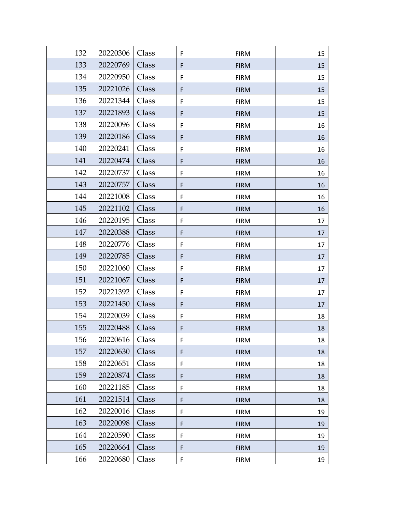| 132 | 20220306 | Class | F           | <b>FIRM</b> | 15 |
|-----|----------|-------|-------------|-------------|----|
| 133 | 20220769 | Class | F           | <b>FIRM</b> | 15 |
| 134 | 20220950 | Class | F           | <b>FIRM</b> | 15 |
| 135 | 20221026 | Class | F           | <b>FIRM</b> | 15 |
| 136 | 20221344 | Class | F           | <b>FIRM</b> | 15 |
| 137 | 20221893 | Class | F           | <b>FIRM</b> | 15 |
| 138 | 20220096 | Class | F           | <b>FIRM</b> | 16 |
| 139 | 20220186 | Class | F           | <b>FIRM</b> | 16 |
| 140 | 20220241 | Class | F           | <b>FIRM</b> | 16 |
| 141 | 20220474 | Class | $\mathsf F$ | <b>FIRM</b> | 16 |
| 142 | 20220737 | Class | F           | <b>FIRM</b> | 16 |
| 143 | 20220757 | Class | F           | <b>FIRM</b> | 16 |
| 144 | 20221008 | Class | F           | <b>FIRM</b> | 16 |
| 145 | 20221102 | Class | $\mathsf F$ | <b>FIRM</b> | 16 |
| 146 | 20220195 | Class | F           | <b>FIRM</b> | 17 |
| 147 | 20220388 | Class | $\mathsf F$ | <b>FIRM</b> | 17 |
| 148 | 20220776 | Class | F           | <b>FIRM</b> | 17 |
| 149 | 20220785 | Class | F           | <b>FIRM</b> | 17 |
| 150 | 20221060 | Class | F           | <b>FIRM</b> | 17 |
| 151 | 20221067 | Class | F           | <b>FIRM</b> | 17 |
| 152 | 20221392 | Class | F           | <b>FIRM</b> | 17 |
| 153 | 20221450 | Class | F           | <b>FIRM</b> | 17 |
| 154 | 20220039 | Class | F           | <b>FIRM</b> | 18 |
| 155 | 20220488 | Class | F           | <b>FIRM</b> | 18 |
| 156 | 20220616 | Class | $\mathsf F$ | <b>FIRM</b> | 18 |
| 157 | 20220630 | Class | F           | <b>FIRM</b> | 18 |
| 158 | 20220651 | Class | F           | <b>FIRM</b> | 18 |
| 159 | 20220874 | Class | $\mathsf F$ | <b>FIRM</b> | 18 |
| 160 | 20221185 | Class | F           | <b>FIRM</b> | 18 |
| 161 | 20221514 | Class | F           | <b>FIRM</b> | 18 |
| 162 | 20220016 | Class | F           | <b>FIRM</b> | 19 |
| 163 | 20220098 | Class | F           | <b>FIRM</b> | 19 |
| 164 | 20220590 | Class | F           | <b>FIRM</b> | 19 |
| 165 | 20220664 | Class | F           | <b>FIRM</b> | 19 |
| 166 | 20220680 | Class | F           | <b>FIRM</b> | 19 |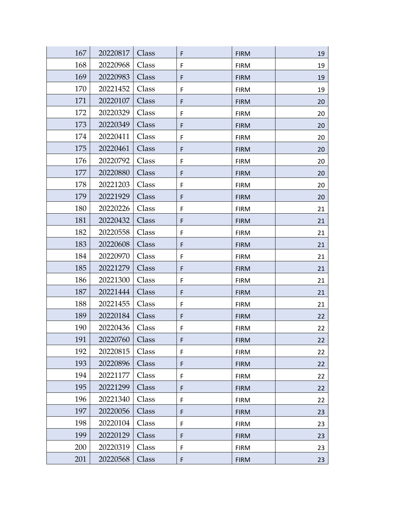| 167 | 20220817 | Class | F           | <b>FIRM</b> | 19 |
|-----|----------|-------|-------------|-------------|----|
| 168 | 20220968 | Class | F           | <b>FIRM</b> | 19 |
| 169 | 20220983 | Class | F           | <b>FIRM</b> | 19 |
| 170 | 20221452 | Class | F           | <b>FIRM</b> | 19 |
| 171 | 20220107 | Class | F           | <b>FIRM</b> | 20 |
| 172 | 20220329 | Class | F           | <b>FIRM</b> | 20 |
| 173 | 20220349 | Class | F           | <b>FIRM</b> | 20 |
| 174 | 20220411 | Class | F           | <b>FIRM</b> | 20 |
| 175 | 20220461 | Class | F           | <b>FIRM</b> | 20 |
| 176 | 20220792 | Class | F           | <b>FIRM</b> | 20 |
| 177 | 20220880 | Class | $\mathsf F$ | <b>FIRM</b> | 20 |
| 178 | 20221203 | Class | F           | <b>FIRM</b> | 20 |
| 179 | 20221929 | Class | F           | <b>FIRM</b> | 20 |
| 180 | 20220226 | Class | F           | <b>FIRM</b> | 21 |
| 181 | 20220432 | Class | F           | <b>FIRM</b> | 21 |
| 182 | 20220558 | Class | F           | <b>FIRM</b> | 21 |
| 183 | 20220608 | Class | F           | <b>FIRM</b> | 21 |
| 184 | 20220970 | Class | F           | <b>FIRM</b> | 21 |
| 185 | 20221279 | Class | F           | <b>FIRM</b> | 21 |
| 186 | 20221300 | Class | F           | <b>FIRM</b> | 21 |
| 187 | 20221444 | Class | F           | <b>FIRM</b> | 21 |
| 188 | 20221455 | Class | F           | <b>FIRM</b> | 21 |
| 189 | 20220184 | Class | $\mathsf F$ | <b>FIRM</b> | 22 |
| 190 | 20220436 | Class | F           | <b>FIRM</b> | 22 |
| 191 | 20220760 | Class | F           | <b>FIRM</b> | 22 |
| 192 | 20220815 | Class | F           | <b>FIRM</b> | 22 |
| 193 | 20220896 | Class | F           | <b>FIRM</b> | 22 |
| 194 | 20221177 | Class | F           | <b>FIRM</b> | 22 |
| 195 | 20221299 | Class | F           | <b>FIRM</b> | 22 |
| 196 | 20221340 | Class | $\mathsf F$ | <b>FIRM</b> | 22 |
| 197 | 20220056 | Class | F           | <b>FIRM</b> | 23 |
| 198 | 20220104 | Class | F           | <b>FIRM</b> | 23 |
| 199 | 20220129 | Class | F           | <b>FIRM</b> | 23 |
| 200 | 20220319 | Class | F           | <b>FIRM</b> | 23 |
| 201 | 20220568 | Class | F           | <b>FIRM</b> | 23 |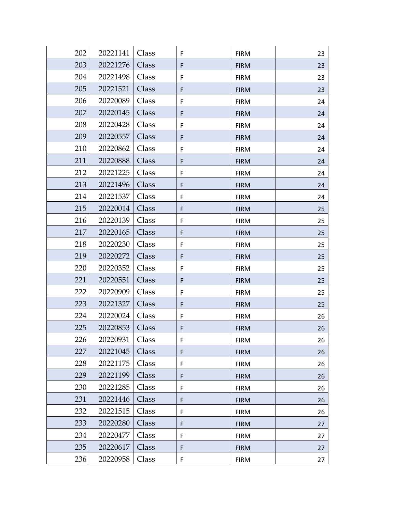| 202 | 20221141 | Class | F           | <b>FIRM</b> | 23 |
|-----|----------|-------|-------------|-------------|----|
| 203 | 20221276 | Class | F           | <b>FIRM</b> | 23 |
| 204 | 20221498 | Class | F           | <b>FIRM</b> | 23 |
| 205 | 20221521 | Class | F           | <b>FIRM</b> | 23 |
| 206 | 20220089 | Class | F           | <b>FIRM</b> | 24 |
| 207 | 20220145 | Class | F           | <b>FIRM</b> | 24 |
| 208 | 20220428 | Class | F           | <b>FIRM</b> | 24 |
| 209 | 20220557 | Class | F           | <b>FIRM</b> | 24 |
| 210 | 20220862 | Class | F           | <b>FIRM</b> | 24 |
| 211 | 20220888 | Class | $\mathsf F$ | <b>FIRM</b> | 24 |
| 212 | 20221225 | Class | F           | <b>FIRM</b> | 24 |
| 213 | 20221496 | Class | F           | <b>FIRM</b> | 24 |
| 214 | 20221537 | Class | F           | <b>FIRM</b> | 24 |
| 215 | 20220014 | Class | $\mathsf F$ | <b>FIRM</b> | 25 |
| 216 | 20220139 | Class | F           | <b>FIRM</b> | 25 |
| 217 | 20220165 | Class | $\mathsf F$ | <b>FIRM</b> | 25 |
| 218 | 20220230 | Class | F           | <b>FIRM</b> | 25 |
| 219 | 20220272 | Class | F           | <b>FIRM</b> | 25 |
| 220 | 20220352 | Class | F           | <b>FIRM</b> | 25 |
| 221 | 20220551 | Class | F           | <b>FIRM</b> | 25 |
| 222 | 20220909 | Class | F           | <b>FIRM</b> | 25 |
| 223 | 20221327 | Class | F           | <b>FIRM</b> | 25 |
| 224 | 20220024 | Class | F           | <b>FIRM</b> | 26 |
| 225 | 20220853 | Class | F           | <b>FIRM</b> | 26 |
| 226 | 20220931 | Class | F           | <b>FIRM</b> | 26 |
| 227 | 20221045 | Class | $\mathsf F$ | <b>FIRM</b> | 26 |
| 228 | 20221175 | Class | F           | <b>FIRM</b> | 26 |
| 229 | 20221199 | Class | $\mathsf F$ | <b>FIRM</b> | 26 |
| 230 | 20221285 | Class | F           | <b>FIRM</b> | 26 |
| 231 | 20221446 | Class | F           | <b>FIRM</b> | 26 |
| 232 | 20221515 | Class | F           | <b>FIRM</b> | 26 |
| 233 | 20220280 | Class | F           | <b>FIRM</b> | 27 |
| 234 | 20220477 | Class | F           | <b>FIRM</b> | 27 |
| 235 | 20220617 | Class | F           | <b>FIRM</b> | 27 |
| 236 | 20220958 | Class | F           | <b>FIRM</b> | 27 |